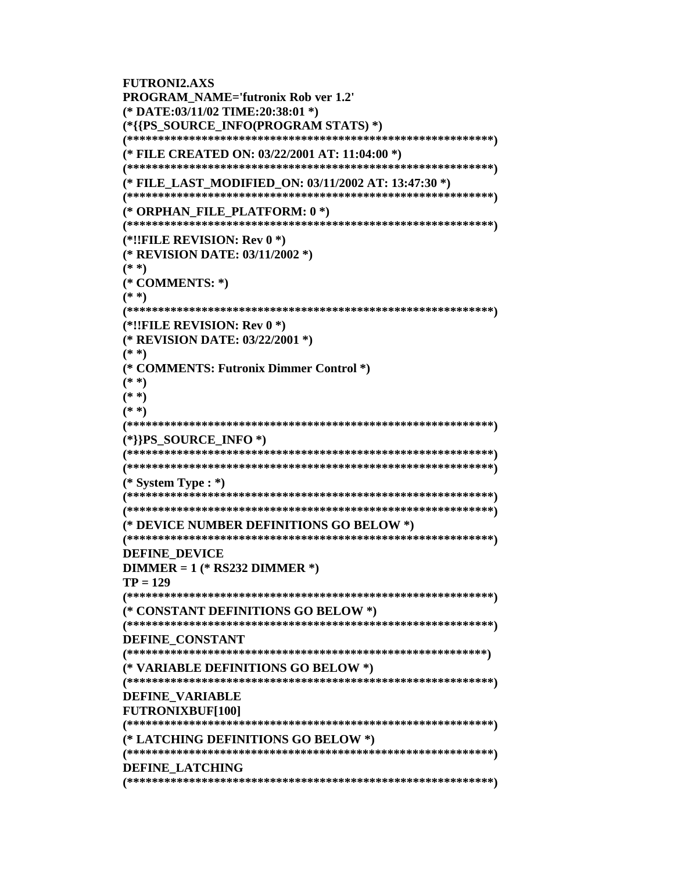```
FUTRONI2.AXS
PROGRAM NAME='futronix Rob ver 1.2'
(* DATE:03/11/02 TIME:20:38:01 *)
(*{{PS SOURCE INFO(PROGRAM STATS) *)
(* FILE CREATED ON: 03/22/2001 AT: 11:04:00 *)
(* FILE LAST MODIFIED ON: 03/11/2002 AT: 13:47:30 *)
(* ORPHAN_FILE_PLATFORM: 0*)
(*!!FILE REVISION: Rev 0 *)
(* REVISION DATE: 03/11/2002 *)
(**)(* COMMENTS: *)
(**)(*!!FILE REVISION: Rev 0 *)
(* REVISION DATE: 03/22/2001 *)
(* * )(* COMMENTS: Futronix Dimmer Control *)
(**)(* * )(* * )(*]}PS_SOURCE_INFO*)(* System Type : *)
(* DEVICE NUMBER DEFINITIONS GO BELOW *)
DEFINE DEVICE
DIMMER = 1 (* RS232 DIMMER *)
TP = 129(* CONSTANT DEFINITIONS GO BELOW *)
DEFINE CONSTANT
(* VARIABLE DEFINITIONS GO BELOW *)
DEFINE VARIABLE
FUTRONIXBUF[100]
(* LATCHING DEFINITIONS GO BELOW *)
DEFINE LATCHING
```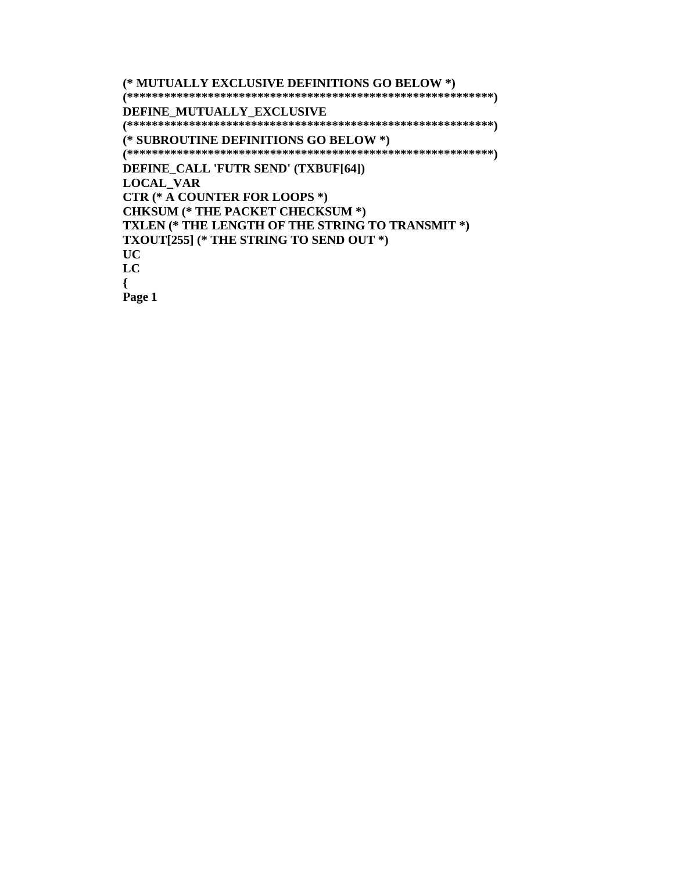**(\* MUTUALLY EXCLUSIVE DEFINITIONS GO BELOW \*) (\*\*\*\*\*\*\*\*\*\*\*\*\*\*\*\*\*\*\*\*\*\*\*\*\*\*\*\*\*\*\*\*\*\*\*\*\*\*\*\*\*\*\*\*\*\*\*\*\*\*\*\*\*\*\*\*\*\*\*) DEFINE\_MUTUALLY\_EXCLUSIVE (\*\*\*\*\*\*\*\*\*\*\*\*\*\*\*\*\*\*\*\*\*\*\*\*\*\*\*\*\*\*\*\*\*\*\*\*\*\*\*\*\*\*\*\*\*\*\*\*\*\*\*\*\*\*\*\*\*\*\*) (\* SUBROUTINE DEFINITIONS GO BELOW \*) (\*\*\*\*\*\*\*\*\*\*\*\*\*\*\*\*\*\*\*\*\*\*\*\*\*\*\*\*\*\*\*\*\*\*\*\*\*\*\*\*\*\*\*\*\*\*\*\*\*\*\*\*\*\*\*\*\*\*\*) DEFINE\_CALL 'FUTR SEND' (TXBUF[64]) LOCAL\_VAR CTR (\* A COUNTER FOR LOOPS \*) CHKSUM (\* THE PACKET CHECKSUM \*) TXLEN (\* THE LENGTH OF THE STRING TO TRANSMIT \*) TXOUT[255] (\* THE STRING TO SEND OUT \*) UC LC {**

**Page 1**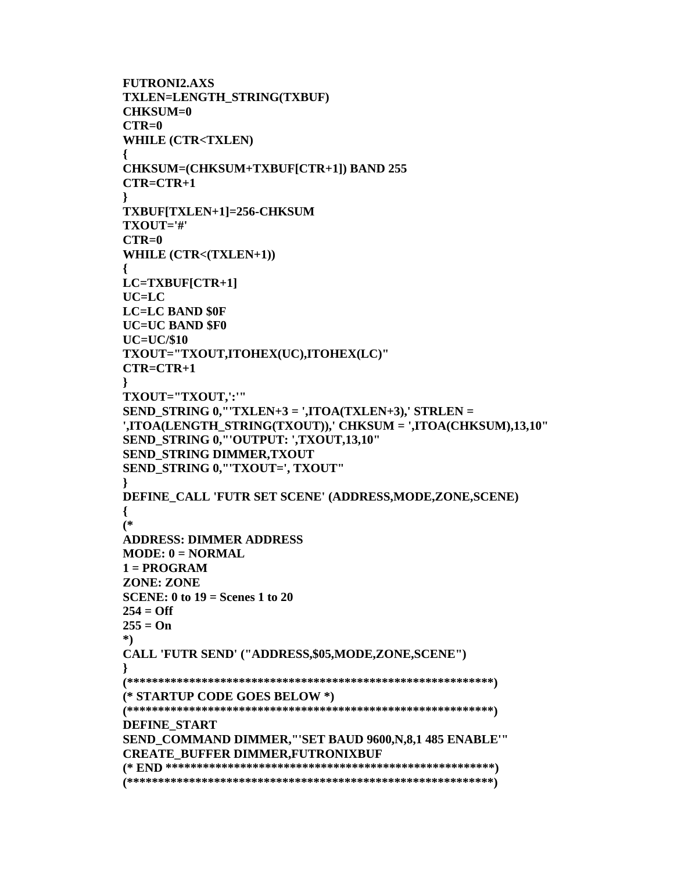```
FUTRONI2.AXS
TXLEN=LENGTH STRING(TXBUF)
CHKSIM=0CTR=0WHILE (CTR<TXLEN)
\{CHKSUM=(CHKSUM+TXBUF[CTR+1]) BAND 255
CTR = CTR + 1ł
TXBUF[TXLEN+1]=256-CHKSUM
TXOUT='#'CTR=0WHILE (CTR<(TXLEN+1))
LC=TXBUF[CTR+1]UC=LCLC=LC BAND $0F
UC=UC BAND $F0
UC=UC/\$10TXOUT="TXOUT,ITOHEX(UC),ITOHEX(LC)"
CTR = CTR + 1ł
TXOUT="TXOUT,':'"
SEND_STRING 0, "TXLEN+3 = ',ITOA(TXLEN+3),' STRLEN =
',ITOA(LENGTH STRING(TXOUT)),' CHKSUM = ',ITOA(CHKSUM),13,10"
SEND_STRING 0,"'OUTPUT: ',TXOUT,13,10"
SEND_STRING DIMMER, TXOUT
SEND_STRING 0, "'TXOUT=', TXOUT"
DEFINE_CALL 'FUTR SET SCENE' (ADDRESS, MODE, ZONE, SCENE)
\{(*ADDRESS: DIMMER ADDRESS
MODE: 0 = NORMAL1 = PROGRAMZONE: ZONE
SCENE: 0 to 19 = Scenes 1 to 20
254 = Off255 = On^*)CALL 'FUTR SEND' ("ADDRESS,$05,MODE,ZONE,SCENE")
(* STARTUP CODE GOES BELOW *)
DEFINE START
SEND COMMAND DIMMER,"'SET BAUD 9600, N,8,1 485 ENABLE""
CREATE_BUFFER DIMMER,FUTRONIXBUF
```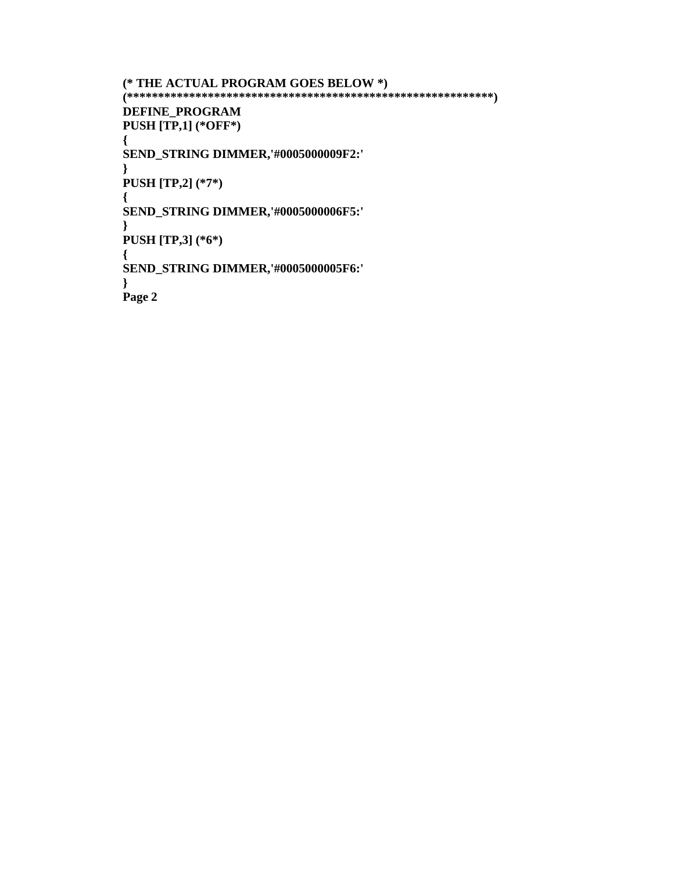```
(* THE ACTUAL PROGRAM GOES BELOW *)
```
**(\*\*\*\*\*\*\*\*\*\*\*\*\*\*\*\*\*\*\*\*\*\*\*\*\*\*\*\*\*\*\*\*\*\*\*\*\*\*\*\*\*\*\*\*\*\*\*\*\*\*\*\*\*\*\*\*\*\*\*) DEFINE\_PROGRAM PUSH [TP,1] (\*OFF\*)**

**{ SEND\_STRING DIMMER,'#0005000009F2:'**

**} PUSH [TP,2] (\*7\*)**

**{ SEND\_STRING DIMMER,'#0005000006F5:'**

**} PUSH [TP,3] (\*6\*)**

**{ SEND\_STRING DIMMER,'#0005000005F6:'**

**}**

**Page 2**